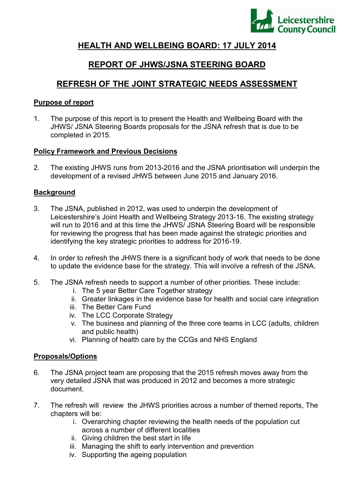

# **HEALTH AND WELLBEING BOARD: 17 JULY 2014**

# **REPORT OF JHWS/JSNA STEERING BOARD**

# **REFRESH OF THE JOINT STRATEGIC NEEDS ASSESSMENT**

#### **Purpose of report**

1. The purpose of this report is to present the Health and Wellbeing Board with the JHWS/ JSNA Steering Boards proposals for the JSNA refresh that is due to be completed in 2015.

#### **Policy Framework and Previous Decisions**

2. The existing JHWS runs from 2013-2016 and the JSNA prioritisation will underpin the development of a revised JHWS between June 2015 and January 2016.

## **Background**

- 3. The JSNA, published in 2012, was used to underpin the development of Leicestershire's Joint Health and Wellbeing Strategy 2013-16. The existing strategy will run to 2016 and at this time the JHWS/ JSNA Steering Board will be responsible for reviewing the progress that has been made against the strategic priorities and identifying the key strategic priorities to address for 2016-19.
- 4. In order to refresh the JHWS there is a significant body of work that needs to be done to update the evidence base for the strategy. This will involve a refresh of the JSNA.
- 5. The JSNA refresh needs to support a number of other priorities. These include:
	- i. The 5 year Better Care Together strategy
	- ii. Greater linkages in the evidence base for health and social care integration
	- iii. The Better Care Fund
	- iv. The LCC Corporate Strategy
	- v. The business and planning of the three core teams in LCC (adults, children and public health)
	- vi. Planning of health care by the CCGs and NHS England

## **Proposals/Options**

- 6. The JSNA project team are proposing that the 2015 refresh moves away from the very detailed JSNA that was produced in 2012 and becomes a more strategic document.
- 7. The refresh will review the JHWS priorities across a number of themed reports, The chapters will be:
	- i. Overarching chapter reviewing the health needs of the population cut across a number of different localities
	- ii. Giving children the best start in life
	- iii. Managing the shift to early intervention and prevention
	- iv. Supporting the ageing population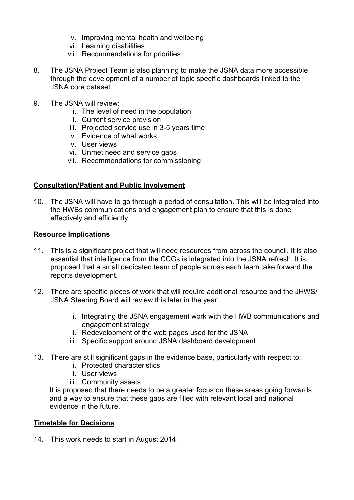- v. Improving mental health and wellbeing
- vi. Learning disabilities
- vii. Recommendations for priorities
- 8. The JSNA Project Team is also planning to make the JSNA data more accessible through the development of a number of topic specific dashboards linked to the JSNA core dataset.
- 9. The JSNA will review:
	- i. The level of need in the population
	- ii. Current service provision
	- iii. Projected service use in 3-5 years time
	- iv. Evidence of what works
	- v. User views
	- vi. Unmet need and service gaps
	- vii. Recommendations for commissioning

#### **Consultation/Patient and Public Involvement**

10. The JSNA will have to go through a period of consultation. This will be integrated into the HWBs communications and engagement plan to ensure that this is done effectively and efficiently.

#### **Resource Implications**

- 11. This is a significant project that will need resources from across the council. It is also essential that intelligence from the CCGs is integrated into the JSNA refresh. It is proposed that a small dedicated team of people across each team take forward the reports development.
- 12. There are specific pieces of work that will require additional resource and the JHWS/ JSNA Steering Board will review this later in the year:
	- i. Integrating the JSNA engagement work with the HWB communications and engagement strategy
	- ii. Redevelopment of the web pages used for the JSNA
	- iii. Specific support around JSNA dashboard development
- 13. There are still significant gaps in the evidence base, particularly with respect to:
	- i. Protected characteristics
	- ii. User views
	- iii. Community assets

It is proposed that there needs to be a greater focus on these areas going forwards and a way to ensure that these gaps are filled with relevant local and national evidence in the future.

#### **Timetable for Decisions**

14. This work needs to start in August 2014.